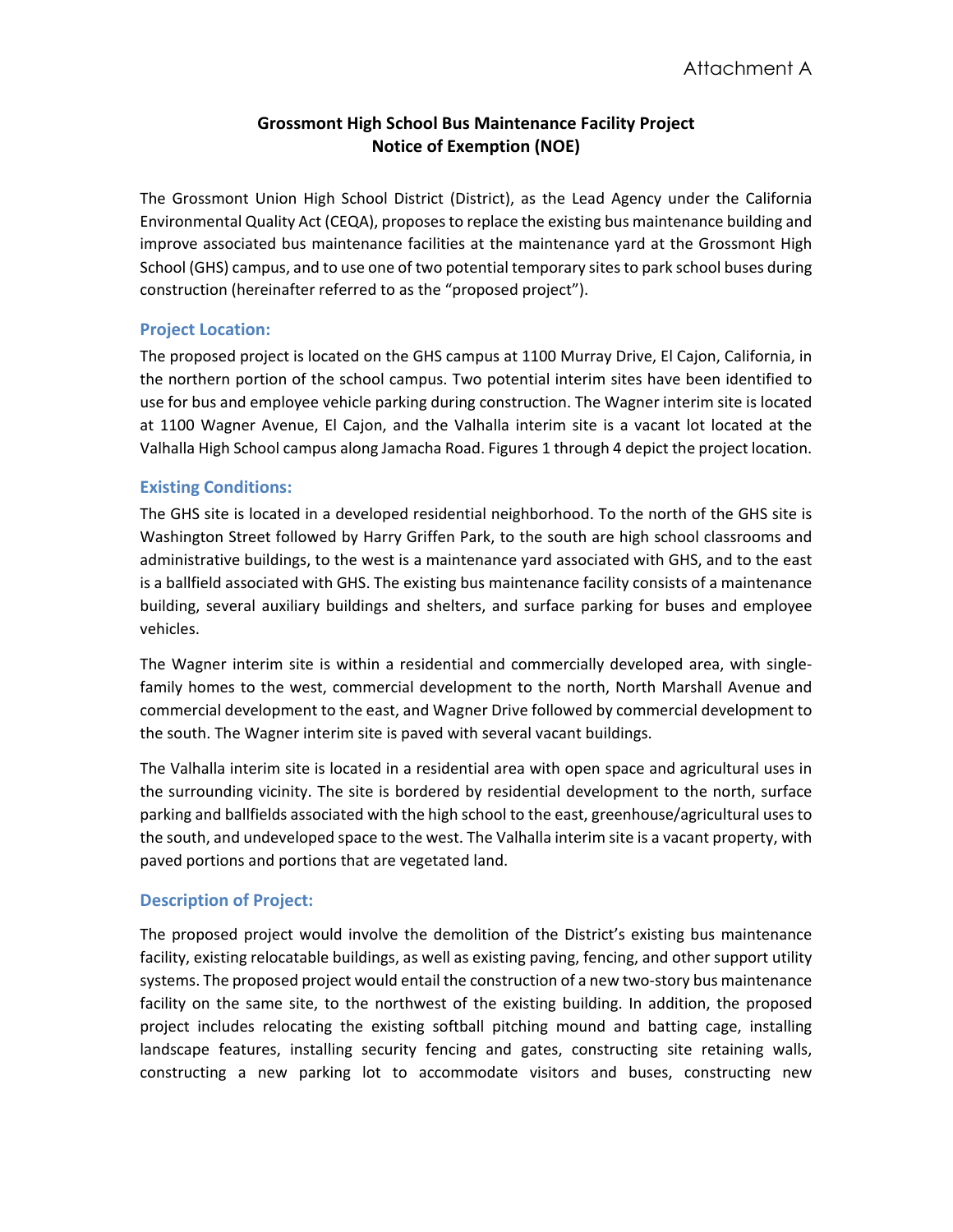# **Grossmont High School Bus Maintenance Facility Project Notice of Exemption (NOE)**

The Grossmont Union High School District (District), as the Lead Agency under the California Environmental Quality Act (CEQA), proposes to replace the existing bus maintenance building and improve associated bus maintenance facilities at the maintenance yard at the Grossmont High School (GHS) campus, and to use one of two potential temporary sites to park school buses during construction (hereinafter referred to as the "proposed project").

## **Project Location:**

The proposed project is located on the GHS campus at 1100 Murray Drive, El Cajon, California, in the northern portion of the school campus. Two potential interim sites have been identified to use for bus and employee vehicle parking during construction. The Wagner interim site is located at 1100 Wagner Avenue, El Cajon, and the Valhalla interim site is a vacant lot located at the Valhalla High School campus along Jamacha Road. Figures 1 through 4 depict the project location.

## **Existing Conditions:**

The GHS site is located in a developed residential neighborhood. To the north of the GHS site is Washington Street followed by Harry Griffen Park, to the south are high school classrooms and administrative buildings, to the west is a maintenance yard associated with GHS, and to the east is a ballfield associated with GHS. The existing bus maintenance facility consists of a maintenance building, several auxiliary buildings and shelters, and surface parking for buses and employee vehicles.

The Wagner interim site is within a residential and commercially developed area, with singlefamily homes to the west, commercial development to the north, North Marshall Avenue and commercial development to the east, and Wagner Drive followed by commercial development to the south. The Wagner interim site is paved with several vacant buildings.

The Valhalla interim site is located in a residential area with open space and agricultural uses in the surrounding vicinity. The site is bordered by residential development to the north, surface parking and ballfields associated with the high school to the east, greenhouse/agricultural uses to the south, and undeveloped space to the west. The Valhalla interim site is a vacant property, with paved portions and portions that are vegetated land.

## **Description of Project:**

The proposed project would involve the demolition of the District's existing bus maintenance facility, existing relocatable buildings, as well as existing paving, fencing, and other support utility systems. The proposed project would entail the construction of a new two-story bus maintenance facility on the same site, to the northwest of the existing building. In addition, the proposed project includes relocating the existing softball pitching mound and batting cage, installing landscape features, installing security fencing and gates, constructing site retaining walls, constructing a new parking lot to accommodate visitors and buses, constructing new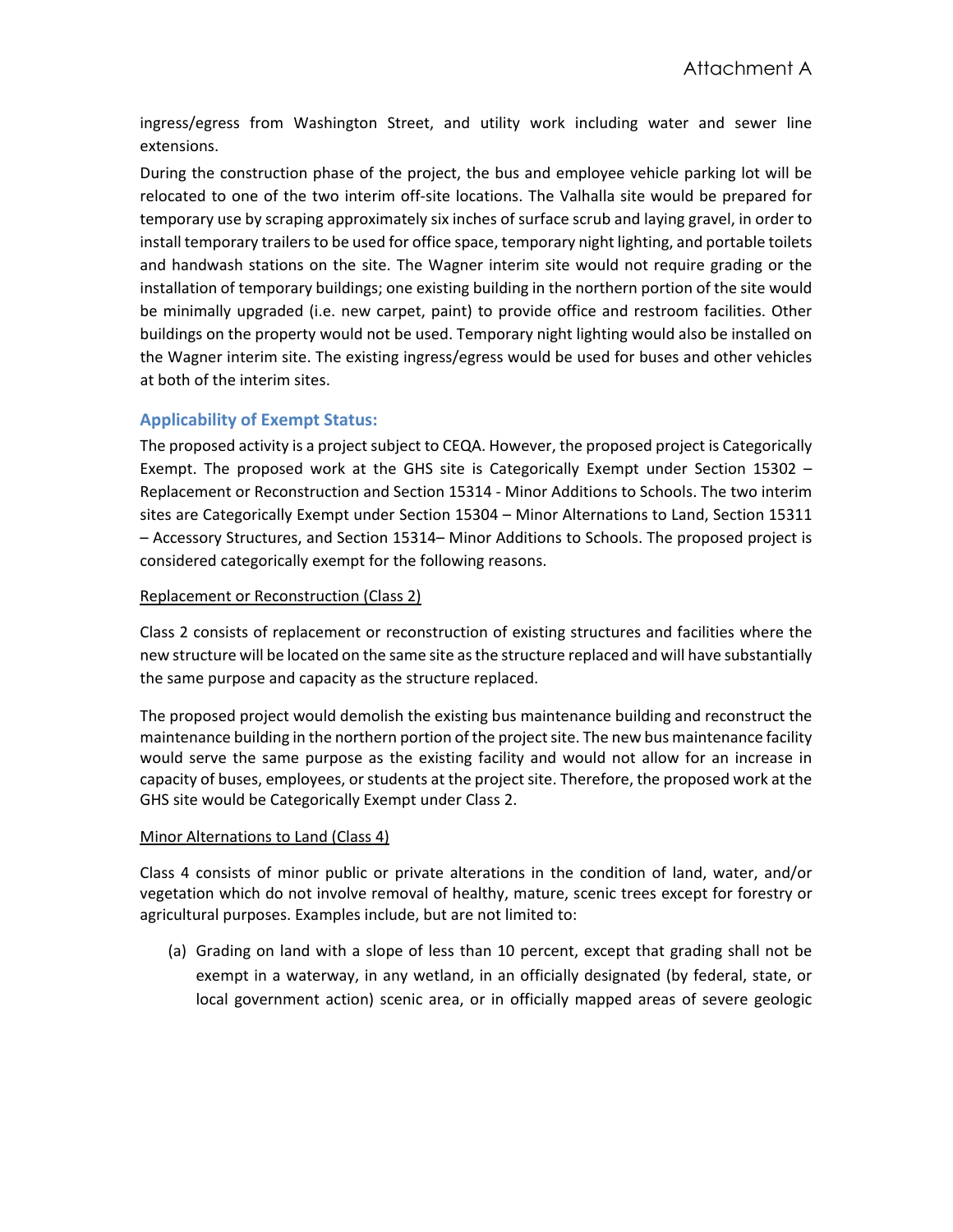ingress/egress from Washington Street, and utility work including water and sewer line extensions.

During the construction phase of the project, the bus and employee vehicle parking lot will be relocated to one of the two interim off-site locations. The Valhalla site would be prepared for temporary use by scraping approximately six inches of surface scrub and laying gravel, in order to install temporary trailers to be used for office space, temporary night lighting, and portable toilets and handwash stations on the site. The Wagner interim site would not require grading or the installation of temporary buildings; one existing building in the northern portion of the site would be minimally upgraded (i.e. new carpet, paint) to provide office and restroom facilities. Other buildings on the property would not be used. Temporary night lighting would also be installed on the Wagner interim site. The existing ingress/egress would be used for buses and other vehicles at both of the interim sites.

## **Applicability of Exempt Status:**

The proposed activity is a project subject to CEQA. However, the proposed project is Categorically Exempt. The proposed work at the GHS site is Categorically Exempt under Section 15302 – Replacement or Reconstruction and Section 15314 - Minor Additions to Schools. The two interim sites are Categorically Exempt under Section 15304 – Minor Alternations to Land, Section 15311 – Accessory Structures, and Section 15314– Minor Additions to Schools. The proposed project is considered categorically exempt for the following reasons.

### Replacement or Reconstruction (Class 2)

Class 2 consists of replacement or reconstruction of existing structures and facilities where the new structure will be located on the same site as the structure replaced and will have substantially the same purpose and capacity as the structure replaced.

The proposed project would demolish the existing bus maintenance building and reconstruct the maintenance building in the northern portion of the project site. The new bus maintenance facility would serve the same purpose as the existing facility and would not allow for an increase in capacity of buses, employees, or students at the project site. Therefore, the proposed work at the GHS site would be Categorically Exempt under Class 2.

#### Minor Alternations to Land (Class 4)

Class 4 consists of minor public or private alterations in the condition of land, water, and/or vegetation which do not involve removal of healthy, mature, scenic trees except for forestry or agricultural purposes. Examples include, but are not limited to:

(a) Grading on land with a slope of less than 10 percent, except that grading shall not be exempt in a waterway, in any wetland, in an officially designated (by federal, state, or local government action) scenic area, or in officially mapped areas of severe geologic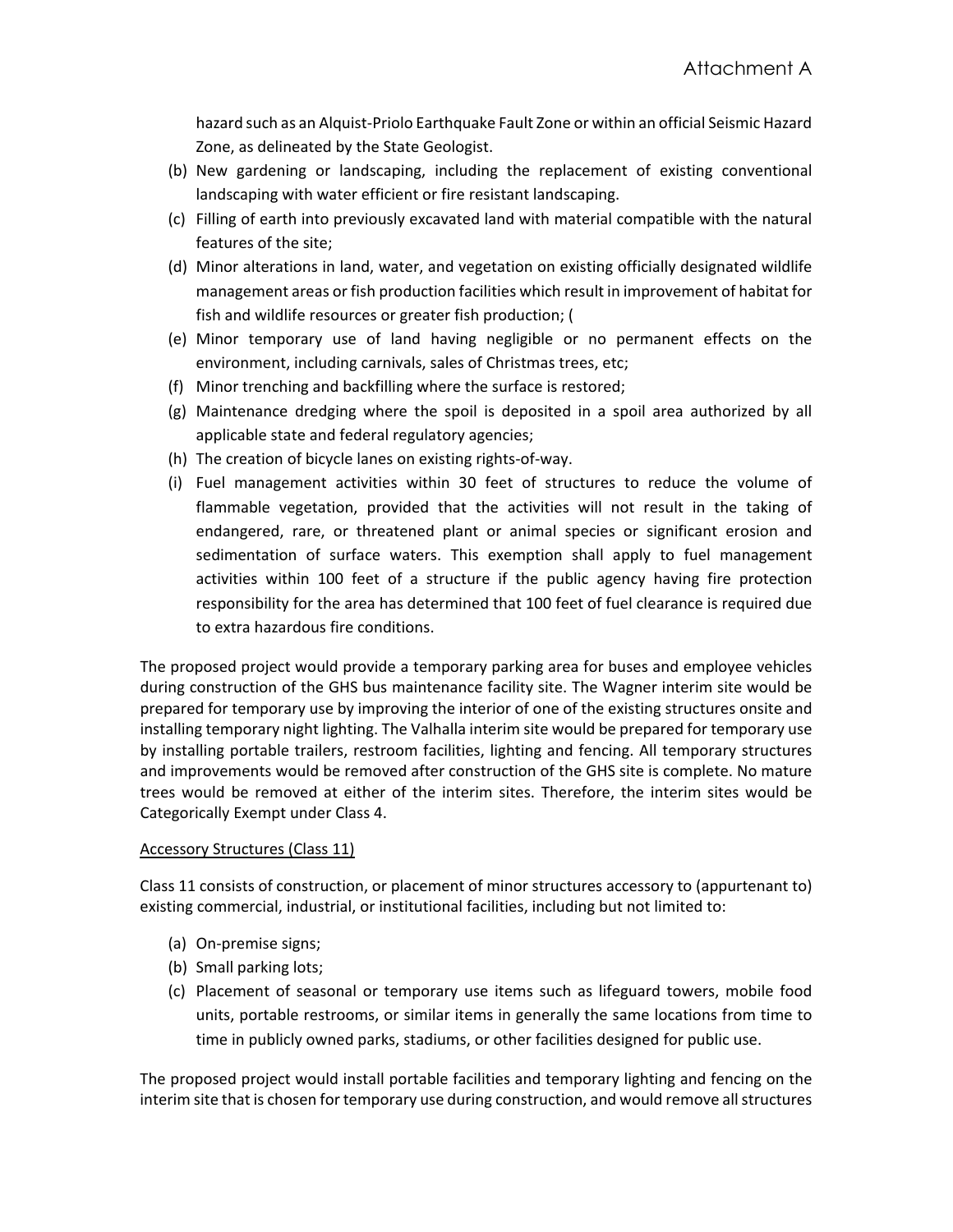hazard such as an Alquist-Priolo Earthquake Fault Zone or within an official Seismic Hazard Zone, as delineated by the State Geologist.

- (b) New gardening or landscaping, including the replacement of existing conventional landscaping with water efficient or fire resistant landscaping.
- (c) Filling of earth into previously excavated land with material compatible with the natural features of the site;
- (d) Minor alterations in land, water, and vegetation on existing officially designated wildlife management areas or fish production facilities which result in improvement of habitat for fish and wildlife resources or greater fish production; (
- (e) Minor temporary use of land having negligible or no permanent effects on the environment, including carnivals, sales of Christmas trees, etc;
- (f) Minor trenching and backfilling where the surface is restored;
- (g) Maintenance dredging where the spoil is deposited in a spoil area authorized by all applicable state and federal regulatory agencies;
- (h) The creation of bicycle lanes on existing rights-of-way.
- (i) Fuel management activities within 30 feet of structures to reduce the volume of flammable vegetation, provided that the activities will not result in the taking of endangered, rare, or threatened plant or animal species or significant erosion and sedimentation of surface waters. This exemption shall apply to fuel management activities within 100 feet of a structure if the public agency having fire protection responsibility for the area has determined that 100 feet of fuel clearance is required due to extra hazardous fire conditions.

The proposed project would provide a temporary parking area for buses and employee vehicles during construction of the GHS bus maintenance facility site. The Wagner interim site would be prepared for temporary use by improving the interior of one of the existing structures onsite and installing temporary night lighting. The Valhalla interim site would be prepared for temporary use by installing portable trailers, restroom facilities, lighting and fencing. All temporary structures and improvements would be removed after construction of the GHS site is complete. No mature trees would be removed at either of the interim sites. Therefore, the interim sites would be Categorically Exempt under Class 4.

#### Accessory Structures (Class 11)

Class 11 consists of construction, or placement of minor structures accessory to (appurtenant to) existing commercial, industrial, or institutional facilities, including but not limited to:

- (a) On-premise signs;
- (b) Small parking lots;
- (c) Placement of seasonal or temporary use items such as lifeguard towers, mobile food units, portable restrooms, or similar items in generally the same locations from time to time in publicly owned parks, stadiums, or other facilities designed for public use.

The proposed project would install portable facilities and temporary lighting and fencing on the interim site that is chosen for temporary use during construction, and would remove all structures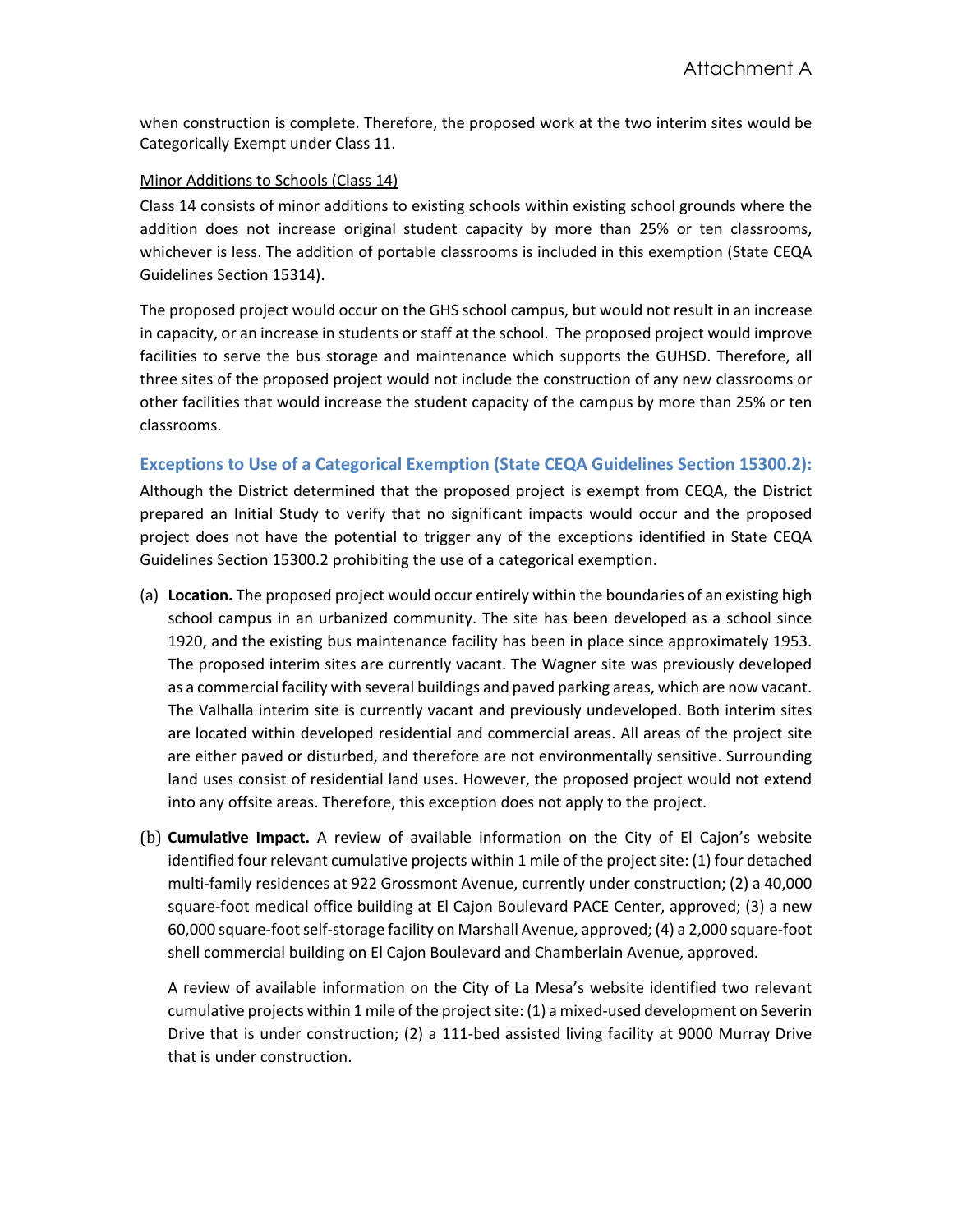when construction is complete. Therefore, the proposed work at the two interim sites would be Categorically Exempt under Class 11.

#### Minor Additions to Schools (Class 14)

Class 14 consists of minor additions to existing schools within existing school grounds where the addition does not increase original student capacity by more than 25% or ten classrooms, whichever is less. The addition of portable classrooms is included in this exemption (State CEQA Guidelines Section 15314).

The proposed project would occur on the GHS school campus, but would not result in an increase in capacity, or an increase in students or staff at the school. The proposed project would improve facilities to serve the bus storage and maintenance which supports the GUHSD. Therefore, all three sites of the proposed project would not include the construction of any new classrooms or other facilities that would increase the student capacity of the campus by more than 25% or ten classrooms.

## **Exceptions to Use of a Categorical Exemption (State CEQA Guidelines Section 15300.2):**

Although the District determined that the proposed project is exempt from CEQA, the District prepared an Initial Study to verify that no significant impacts would occur and the proposed project does not have the potential to trigger any of the exceptions identified in State CEQA Guidelines Section 15300.2 prohibiting the use of a categorical exemption.

- (a) **Location.** The proposed project would occur entirely within the boundaries of an existing high school campus in an urbanized community. The site has been developed as a school since 1920, and the existing bus maintenance facility has been in place since approximately 1953. The proposed interim sites are currently vacant. The Wagner site was previously developed as a commercial facility with several buildings and paved parking areas, which are now vacant. The Valhalla interim site is currently vacant and previously undeveloped. Both interim sites are located within developed residential and commercial areas. All areas of the project site are either paved or disturbed, and therefore are not environmentally sensitive. Surrounding land uses consist of residential land uses. However, the proposed project would not extend into any offsite areas. Therefore, this exception does not apply to the project.
- (b) **Cumulative Impact.** A review of available information on the City of El Cajon's website identified four relevant cumulative projects within 1 mile of the project site: (1) four detached multi-family residences at 922 Grossmont Avenue, currently under construction; (2) a 40,000 square-foot medical office building at El Cajon Boulevard PACE Center, approved; (3) a new 60,000 square-foot self-storage facility on Marshall Avenue, approved; (4) a 2,000 square-foot shell commercial building on El Cajon Boulevard and Chamberlain Avenue, approved.

A review of available information on the City of La Mesa's website identified two relevant cumulative projects within 1 mile of the project site: (1) a mixed-used development on Severin Drive that is under construction; (2) a 111-bed assisted living facility at 9000 Murray Drive that is under construction.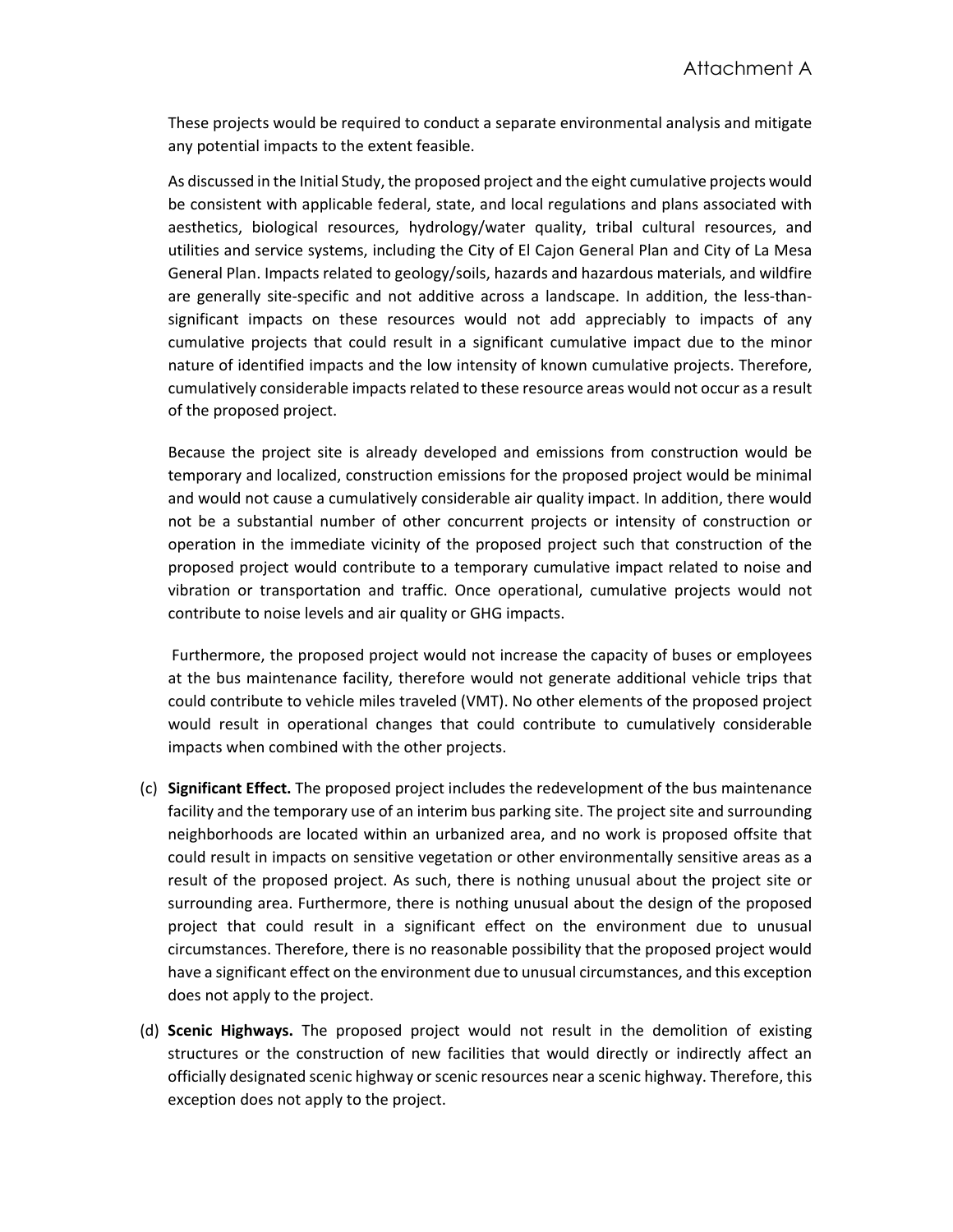These projects would be required to conduct a separate environmental analysis and mitigate any potential impacts to the extent feasible.

As discussed in the Initial Study, the proposed project and the eight cumulative projects would be consistent with applicable federal, state, and local regulations and plans associated with aesthetics, biological resources, hydrology/water quality, tribal cultural resources, and utilities and service systems, including the City of El Cajon General Plan and City of La Mesa General Plan. Impacts related to geology/soils, hazards and hazardous materials, and wildfire are generally site-specific and not additive across a landscape. In addition, the less-thansignificant impacts on these resources would not add appreciably to impacts of any cumulative projects that could result in a significant cumulative impact due to the minor nature of identified impacts and the low intensity of known cumulative projects. Therefore, cumulatively considerable impacts related to these resource areas would not occur as a result of the proposed project.

Because the project site is already developed and emissions from construction would be temporary and localized, construction emissions for the proposed project would be minimal and would not cause a cumulatively considerable air quality impact. In addition, there would not be a substantial number of other concurrent projects or intensity of construction or operation in the immediate vicinity of the proposed project such that construction of the proposed project would contribute to a temporary cumulative impact related to noise and vibration or transportation and traffic. Once operational, cumulative projects would not contribute to noise levels and air quality or GHG impacts.

Furthermore, the proposed project would not increase the capacity of buses or employees at the bus maintenance facility, therefore would not generate additional vehicle trips that could contribute to vehicle miles traveled (VMT). No other elements of the proposed project would result in operational changes that could contribute to cumulatively considerable impacts when combined with the other projects.

- (c) **Significant Effect.** The proposed project includes the redevelopment of the bus maintenance facility and the temporary use of an interim bus parking site. The project site and surrounding neighborhoods are located within an urbanized area, and no work is proposed offsite that could result in impacts on sensitive vegetation or other environmentally sensitive areas as a result of the proposed project. As such, there is nothing unusual about the project site or surrounding area. Furthermore, there is nothing unusual about the design of the proposed project that could result in a significant effect on the environment due to unusual circumstances. Therefore, there is no reasonable possibility that the proposed project would have a significant effect on the environment due to unusual circumstances, and this exception does not apply to the project.
- (d) **Scenic Highways.** The proposed project would not result in the demolition of existing structures or the construction of new facilities that would directly or indirectly affect an officially designated scenic highway or scenic resources near a scenic highway. Therefore, this exception does not apply to the project.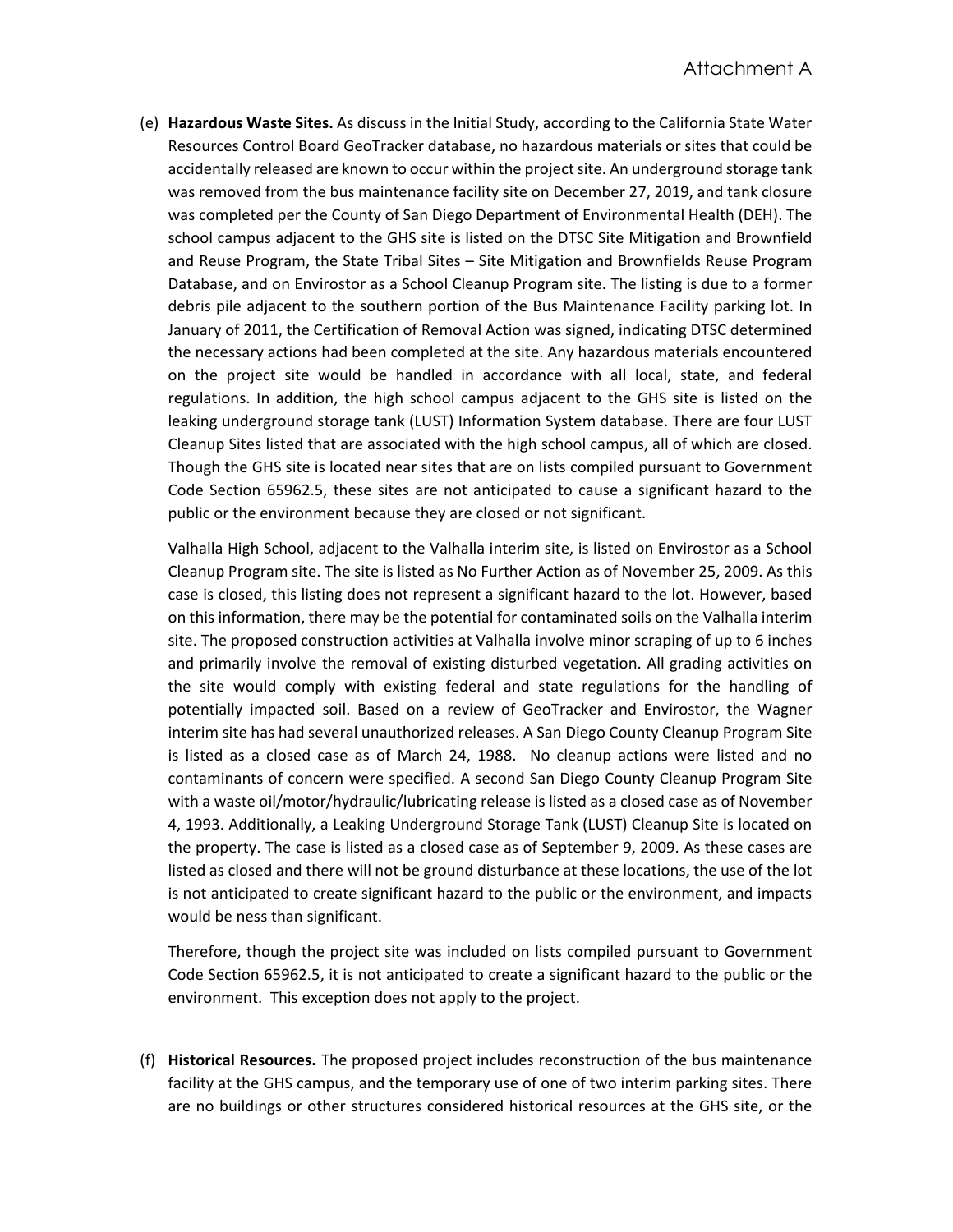(e) **Hazardous Waste Sites.** As discuss in the Initial Study, according to the California State Water Resources Control Board GeoTracker database, no hazardous materials or sites that could be accidentally released are known to occur within the project site. An underground storage tank was removed from the bus maintenance facility site on December 27, 2019, and tank closure was completed per the County of San Diego Department of Environmental Health (DEH). The school campus adjacent to the GHS site is listed on the DTSC Site Mitigation and Brownfield and Reuse Program, the State Tribal Sites – Site Mitigation and Brownfields Reuse Program Database, and on Envirostor as a School Cleanup Program site. The listing is due to a former debris pile adjacent to the southern portion of the Bus Maintenance Facility parking lot. In January of 2011, the Certification of Removal Action was signed, indicating DTSC determined the necessary actions had been completed at the site. Any hazardous materials encountered on the project site would be handled in accordance with all local, state, and federal regulations. In addition, the high school campus adjacent to the GHS site is listed on the leaking underground storage tank (LUST) Information System database. There are four LUST Cleanup Sites listed that are associated with the high school campus, all of which are closed. Though the GHS site is located near sites that are on lists compiled pursuant to Government Code Section 65962.5, these sites are not anticipated to cause a significant hazard to the public or the environment because they are closed or not significant.

Valhalla High School, adjacent to the Valhalla interim site, is listed on Envirostor as a School Cleanup Program site. The site is listed as No Further Action as of November 25, 2009. As this case is closed, this listing does not represent a significant hazard to the lot. However, based on this information, there may be the potential for contaminated soils on the Valhalla interim site. The proposed construction activities at Valhalla involve minor scraping of up to 6 inches and primarily involve the removal of existing disturbed vegetation. All grading activities on the site would comply with existing federal and state regulations for the handling of potentially impacted soil. Based on a review of GeoTracker and Envirostor, the Wagner interim site has had several unauthorized releases. A San Diego County Cleanup Program Site is listed as a closed case as of March 24, 1988. No cleanup actions were listed and no contaminants of concern were specified. A second San Diego County Cleanup Program Site with a waste oil/motor/hydraulic/lubricating release is listed as a closed case as of November 4, 1993. Additionally, a Leaking Underground Storage Tank (LUST) Cleanup Site is located on the property. The case is listed as a closed case as of September 9, 2009. As these cases are listed as closed and there will not be ground disturbance at these locations, the use of the lot is not anticipated to create significant hazard to the public or the environment, and impacts would be ness than significant.

Therefore, though the project site was included on lists compiled pursuant to Government Code Section 65962.5, it is not anticipated to create a significant hazard to the public or the environment. This exception does not apply to the project.

(f) **Historical Resources.** The proposed project includes reconstruction of the bus maintenance facility at the GHS campus, and the temporary use of one of two interim parking sites. There are no buildings or other structures considered historical resources at the GHS site, or the